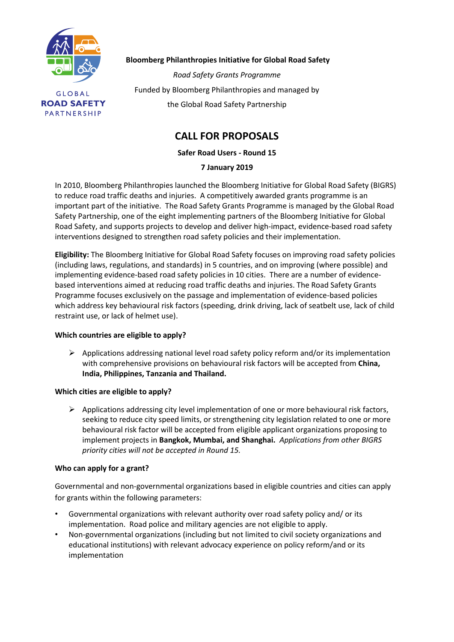

**Bloomberg Philanthropies Initiative for Global Road Safety**

*Road Safety Grants Programme* Funded by Bloomberg Philanthropies and managed by the Global Road Safety Partnership

# **CALL FOR PROPOSALS**

**Safer Road Users - Round 15**

## **7 January 2019**

In 2010, Bloomberg Philanthropies launched the Bloomberg Initiative for Global Road Safety (BIGRS) to reduce road traffic deaths and injuries. A competitively awarded grants programme is an important part of the initiative. The Road Safety Grants Programme is managed by the Global Road Safety Partnership, one of the eight implementing partners of the Bloomberg Initiative for Global Road Safety, and supports projects to develop and deliver high-impact, evidence-based road safety interventions designed to strengthen road safety policies and their implementation.

**Eligibility:** The Bloomberg Initiative for Global Road Safety focuses on improving road safety policies (including laws, regulations, and standards) in 5 countries, and on improving (where possible) and implementing evidence-based road safety policies in 10 cities. There are a number of evidencebased interventions aimed at reducing road traffic deaths and injuries. The Road Safety Grants Programme focuses exclusively on the passage and implementation of evidence-based policies which address key behavioural risk factors (speeding, drink driving, lack of seatbelt use, lack of child restraint use, or lack of helmet use).

## **Which countries are eligible to apply?**

➢ Applications addressing national level road safety policy reform and/or its implementation with comprehensive provisions on behavioural risk factors will be accepted from **China, India, Philippines, Tanzania and Thailand.**

#### **Which cities are eligible to apply?**

 $\triangleright$  Applications addressing city level implementation of one or more behavioural risk factors, seeking to reduce city speed limits, or strengthening city legislation related to one or more behavioural risk factor will be accepted from eligible applicant organizations proposing to implement projects in **Bangkok, Mumbai, and Shanghai.** *Applications from other BIGRS priority cities will not be accepted in Round 15.*

#### **Who can apply for a grant?**

Governmental and non-governmental organizations based in eligible countries and cities can apply for grants within the following parameters:

- Governmental organizations with relevant authority over road safety policy and/ or its implementation. Road police and military agencies are not eligible to apply.
- Non-governmental organizations (including but not limited to civil society organizations and educational institutions) with relevant advocacy experience on policy reform/and or its implementation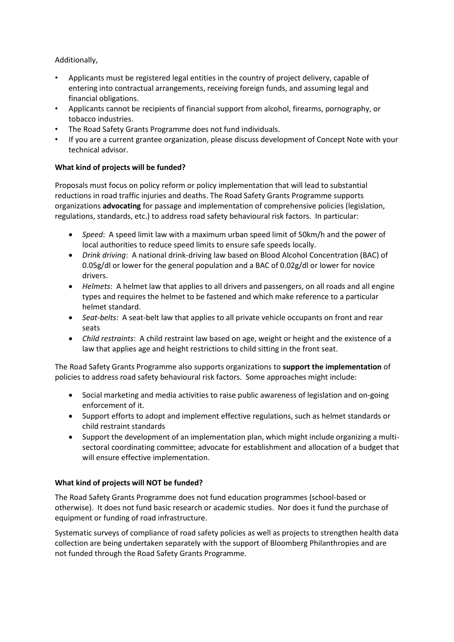Additionally,

- Applicants must be registered legal entities in the country of project delivery, capable of entering into contractual arrangements, receiving foreign funds, and assuming legal and financial obligations.
- Applicants cannot be recipients of financial support from alcohol, firearms, pornography, or tobacco industries.
- The Road Safety Grants Programme does not fund individuals.
- If you are a current grantee organization, please discuss development of Concept Note with your technical advisor.

### **What kind of projects will be funded?**

Proposals must focus on policy reform or policy implementation that will lead to substantial reductions in road traffic injuries and deaths. The Road Safety Grants Programme supports organizations **advocating** for passage and implementation of comprehensive policies (legislation, regulations, standards, etc.) to address road safety behavioural risk factors. In particular:

- *Speed*: A speed limit law with a maximum urban speed limit of 50km/h and the power of local authorities to reduce speed limits to ensure safe speeds locally.
- *Drink driving*: A national drink-driving law based on Blood Alcohol Concentration (BAC) of 0.05g/dl or lower for the general population and a BAC of 0.02g/dl or lower for novice drivers.
- *Helmets*: A helmet law that applies to all drivers and passengers, on all roads and all engine types and requires the helmet to be fastened and which make reference to a particular helmet standard.
- *Seat-belts*: A seat-belt law that applies to all private vehicle occupants on front and rear seats
- *Child restraints*: A child restraint law based on age, weight or height and the existence of a law that applies age and height restrictions to child sitting in the front seat.

The Road Safety Grants Programme also supports organizations to **support the implementation** of policies to address road safety behavioural risk factors. Some approaches might include:

- Social marketing and media activities to raise public awareness of legislation and on-going enforcement of it.
- Support efforts to adopt and implement effective regulations, such as helmet standards or child restraint standards
- Support the development of an implementation plan, which might include organizing a multisectoral coordinating committee; advocate for establishment and allocation of a budget that will ensure effective implementation.

#### **What kind of projects will NOT be funded?**

The Road Safety Grants Programme does not fund education programmes (school-based or otherwise). It does not fund basic research or academic studies. Nor does it fund the purchase of equipment or funding of road infrastructure.

Systematic surveys of compliance of road safety policies as well as projects to strengthen health data collection are being undertaken separately with the support of Bloomberg Philanthropies and are not funded through the Road Safety Grants Programme.